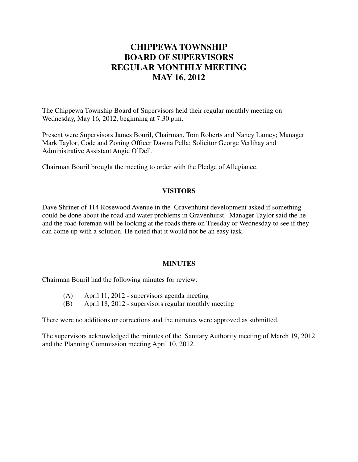# **CHIPPEWA TOWNSHIP BOARD OF SUPERVISORS REGULAR MONTHLY MEETING MAY 16, 2012**

The Chippewa Township Board of Supervisors held their regular monthly meeting on Wednesday, May 16, 2012, beginning at 7:30 p.m.

Present were Supervisors James Bouril, Chairman, Tom Roberts and Nancy Lamey; Manager Mark Taylor; Code and Zoning Officer Dawna Pella; Solicitor George Verlihay and Administrative Assistant Angie O'Dell.

Chairman Bouril brought the meeting to order with the Pledge of Allegiance.

#### **VISITORS**

Dave Shriner of 114 Rosewood Avenue in the Gravenhurst development asked if something could be done about the road and water problems in Gravenhurst. Manager Taylor said the he and the road foreman will be looking at the roads there on Tuesday or Wednesday to see if they can come up with a solution. He noted that it would not be an easy task.

#### **MINUTES**

Chairman Bouril had the following minutes for review:

- (A) April 11, 2012 supervisors agenda meeting
- (B) April 18, 2012 supervisors regular monthly meeting

There were no additions or corrections and the minutes were approved as submitted.

The supervisors acknowledged the minutes of the Sanitary Authority meeting of March 19, 2012 and the Planning Commission meeting April 10, 2012.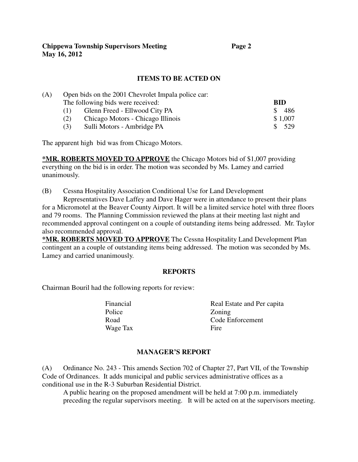### **ITEMS TO BE ACTED ON**

| (A) |                                   | Open bids on the 2001 Chevrolet Impala police car: |                     |
|-----|-----------------------------------|----------------------------------------------------|---------------------|
|     | The following bids were received: |                                                    | <b>BID</b>          |
|     | (1)                               | Glenn Freed - Ellwood City PA                      | 486<br><sup>S</sup> |
|     | (2)                               | Chicago Motors - Chicago Illinois                  | \$1,007             |
|     | (3)                               | Sulli Motors - Ambridge PA                         | 529<br><sup>S</sup> |

The apparent high bid was from Chicago Motors.

**\*MR. ROBERTS MOVED TO APPROVE** the Chicago Motors bid of \$1,007 providing everything on the bid is in order. The motion was seconded by Ms. Lamey and carried unanimously.

(B) Cessna Hospitality Association Conditional Use for Land Development Representatives Dave Laffey and Dave Hager were in attendance to present their plans

for a Micromotel at the Beaver County Airport. It will be a limited service hotel with three floors and 79 rooms. The Planning Commission reviewed the plans at their meeting last night and recommended approval contingent on a couple of outstanding items being addressed. Mr. Taylor also recommended approval.

**\*MR. ROBERTS MOVED TO APPROVE** The Cessna Hospitality Land Development Plan contingent an a couple of outstanding items being addressed. The motion was seconded by Ms. Lamey and carried unanimously.

#### **REPORTS**

Chairman Bouril had the following reports for review:

Police **Zoning** Wage Tax Fire

Financial Real Estate and Per capita Road Code Enforcement

#### **MANAGER'S REPORT**

(A) Ordinance No. 243 - This amends Section 702 of Chapter 27, Part VII, of the Township Code of Ordinances. It adds municipal and public services administrative offices as a conditional use in the R-3 Suburban Residential District.

A public hearing on the proposed amendment will be held at 7:00 p.m. immediately preceding the regular supervisors meeting. It will be acted on at the supervisors meeting.